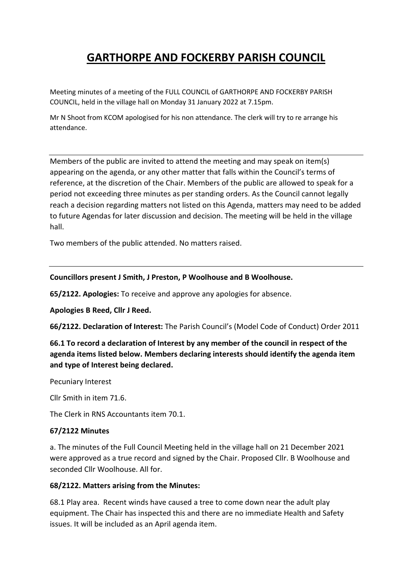# **GARTHORPE AND FOCKERBY PARISH COUNCIL**

Meeting minutes of a meeting of the FULL COUNCIL of GARTHORPE AND FOCKERBY PARISH COUNCIL, held in the village hall on Monday 31 January 2022 at 7.15pm.

Mr N Shoot from KCOM apologised for his non attendance. The clerk will try to re arrange his attendance.

Members of the public are invited to attend the meeting and may speak on item(s) appearing on the agenda, or any other matter that falls within the Council's terms of reference, at the discretion of the Chair. Members of the public are allowed to speak for a period not exceeding three minutes as per standing orders. As the Council cannot legally reach a decision regarding matters not listed on this Agenda, matters may need to be added to future Agendas for later discussion and decision. The meeting will be held in the village hall.

Two members of the public attended. No matters raised.

## **Councillors present J Smith, J Preston, P Woolhouse and B Woolhouse.**

**65/2122. Apologies:** To receive and approve any apologies for absence.

**Apologies B Reed, Cllr J Reed.** 

**66/2122. Declaration of Interest:** The Parish Council's (Model Code of Conduct) Order 2011

**66.1 To record a declaration of Interest by any member of the council in respect of the agenda items listed below. Members declaring interests should identify the agenda item and type of Interest being declared.** 

Pecuniary Interest

Cllr Smith in item 71.6.

The Clerk in RNS Accountants item 70.1.

# **67/2122 Minutes**

a. The minutes of the Full Council Meeting held in the village hall on 21 December 2021 were approved as a true record and signed by the Chair. Proposed Cllr. B Woolhouse and seconded Cllr Woolhouse. All for.

#### **68/2122. Matters arising from the Minutes:**

68.1 Play area. Recent winds have caused a tree to come down near the adult play equipment. The Chair has inspected this and there are no immediate Health and Safety issues. It will be included as an April agenda item.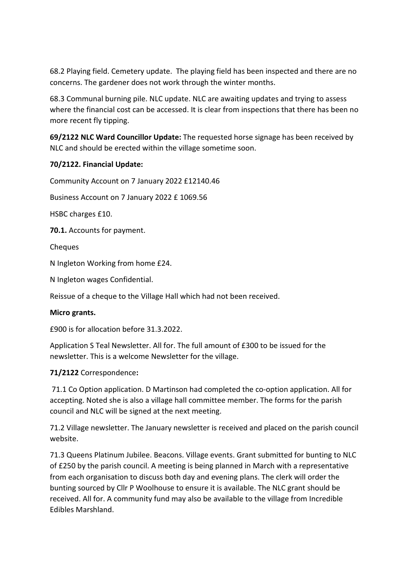68.2 Playing field. Cemetery update. The playing field has been inspected and there are no concerns. The gardener does not work through the winter months.

68.3 Communal burning pile. NLC update. NLC are awaiting updates and trying to assess where the financial cost can be accessed. It is clear from inspections that there has been no more recent fly tipping.

**69/2122 NLC Ward Councillor Update:** The requested horse signage has been received by NLC and should be erected within the village sometime soon.

## **70/2122. Financial Update:**

Community Account on 7 January 2022 £12140.46

Business Account on 7 January 2022 £ 1069.56

HSBC charges £10.

**70.1.** Accounts for payment.

Cheques

N Ingleton Working from home £24.

N Ingleton wages Confidential.

Reissue of a cheque to the Village Hall which had not been received.

#### **Micro grants.**

£900 is for allocation before 31.3.2022.

Application S Teal Newsletter. All for. The full amount of £300 to be issued for the newsletter. This is a welcome Newsletter for the village.

#### **71/2122** Correspondence**:**

 71.1 Co Option application. D Martinson had completed the co-option application. All for accepting. Noted she is also a village hall committee member. The forms for the parish council and NLC will be signed at the next meeting.

71.2 Village newsletter. The January newsletter is received and placed on the parish council website.

71.3 Queens Platinum Jubilee. Beacons. Village events. Grant submitted for bunting to NLC of £250 by the parish council. A meeting is being planned in March with a representative from each organisation to discuss both day and evening plans. The clerk will order the bunting sourced by Cllr P Woolhouse to ensure it is available. The NLC grant should be received. All for. A community fund may also be available to the village from Incredible Edibles Marshland.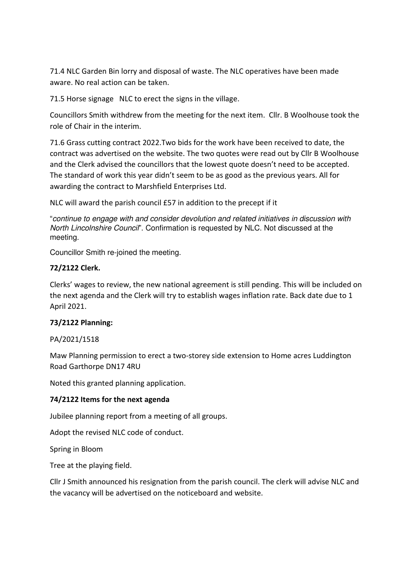71.4 NLC Garden Bin lorry and disposal of waste. The NLC operatives have been made aware. No real action can be taken.

71.5 Horse signage NLC to erect the signs in the village.

Councillors Smith withdrew from the meeting for the next item. Cllr. B Woolhouse took the role of Chair in the interim.

71.6 Grass cutting contract 2022.Two bids for the work have been received to date, the contract was advertised on the website. The two quotes were read out by Cllr B Woolhouse and the Clerk advised the councillors that the lowest quote doesn't need to be accepted. The standard of work this year didn't seem to be as good as the previous years. All for awarding the contract to Marshfield Enterprises Ltd.

NLC will award the parish council £57 in addition to the precept if it

"continue to engage with and consider devolution and related initiatives in discussion with North Lincolnshire Council". Confirmation is requested by NLC. Not discussed at the meeting.

Councillor Smith re-joined the meeting.

## **72/2122 Clerk.**

Clerks' wages to review, the new national agreement is still pending. This will be included on the next agenda and the Clerk will try to establish wages inflation rate. Back date due to 1 April 2021.

# **73/2122 Planning:**

#### PA/2021/1518

Maw Planning permission to erect a two-storey side extension to Home acres Luddington Road Garthorpe DN17 4RU

Noted this granted planning application.

#### **74/2122 Items for the next agenda**

Jubilee planning report from a meeting of all groups.

Adopt the revised NLC code of conduct.

Spring in Bloom

Tree at the playing field.

Cllr J Smith announced his resignation from the parish council. The clerk will advise NLC and the vacancy will be advertised on the noticeboard and website.